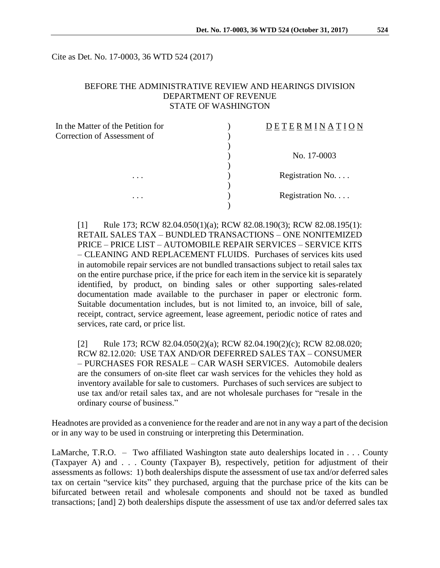Cite as Det. No. 17-0003, 36 WTD 524 (2017)

## BEFORE THE ADMINISTRATIVE REVIEW AND HEARINGS DIVISION DEPARTMENT OF REVENUE STATE OF WASHINGTON

| In the Matter of the Petition for | ETERMINATION     |
|-----------------------------------|------------------|
| Correction of Assessment of       |                  |
|                                   |                  |
|                                   | No. 17-0003      |
|                                   |                  |
| $\cdots$                          | Registration No. |
|                                   |                  |
| $\cdots$                          | Registration No. |
|                                   |                  |

[1] Rule 173; RCW 82.04.050(1)(a); RCW 82.08.190(3); RCW 82.08.195(1): RETAIL SALES TAX – BUNDLED TRANSACTIONS – ONE NONITEMIZED PRICE – PRICE LIST – AUTOMOBILE REPAIR SERVICES – SERVICE KITS – CLEANING AND REPLACEMENT FLUIDS. Purchases of services kits used in automobile repair services are not bundled transactions subject to retail sales tax on the entire purchase price, if the price for each item in the service kit is separately identified, by product, on binding sales or other supporting sales-related documentation made available to the purchaser in paper or electronic form. Suitable documentation includes, but is not limited to, an invoice, bill of sale, receipt, contract, service agreement, lease agreement, periodic notice of rates and services, rate card, or price list.

[2] Rule 173; RCW 82.04.050(2)(a); RCW 82.04.190(2)(c); RCW 82.08.020; RCW 82.12.020: USE TAX AND/OR DEFERRED SALES TAX – CONSUMER – PURCHASES FOR RESALE – CAR WASH SERVICES. Automobile dealers are the consumers of on-site fleet car wash services for the vehicles they hold as inventory available for sale to customers. Purchases of such services are subject to use tax and/or retail sales tax, and are not wholesale purchases for "resale in the ordinary course of business."

Headnotes are provided as a convenience for the reader and are not in any way a part of the decision or in any way to be used in construing or interpreting this Determination.

LaMarche, T.R.O. – Two affiliated Washington state auto dealerships located in . . . County (Taxpayer A) and . . . County (Taxpayer B), respectively, petition for adjustment of their assessments as follows: 1) both dealerships dispute the assessment of use tax and/or deferred sales tax on certain "service kits" they purchased, arguing that the purchase price of the kits can be bifurcated between retail and wholesale components and should not be taxed as bundled transactions; [and] 2) both dealerships dispute the assessment of use tax and/or deferred sales tax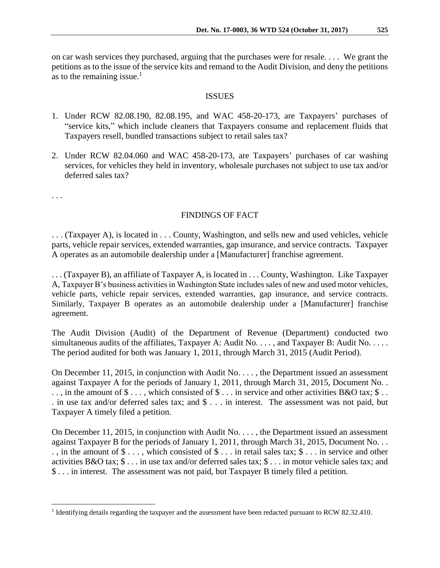on car wash services they purchased, arguing that the purchases were for resale. . . . We grant the petitions as to the issue of the service kits and remand to the Audit Division, and deny the petitions as to the remaining issue.<sup>1</sup>

### ISSUES

- 1. Under RCW 82.08.190, 82.08.195, and WAC 458-20-173, are Taxpayers' purchases of "service kits," which include cleaners that Taxpayers consume and replacement fluids that Taxpayers resell, bundled transactions subject to retail sales tax?
- 2. Under RCW 82.04.060 and WAC 458-20-173, are Taxpayers' purchases of car washing services, for vehicles they held in inventory, wholesale purchases not subject to use tax and/or deferred sales tax?

. . .

 $\overline{a}$ 

## FINDINGS OF FACT

. . . (Taxpayer A), is located in . . . County, Washington, and sells new and used vehicles, vehicle parts, vehicle repair services, extended warranties, gap insurance, and service contracts. Taxpayer A operates as an automobile dealership under a [Manufacturer] franchise agreement.

. . . (Taxpayer B), an affiliate of Taxpayer A, is located in . . . County, Washington. Like Taxpayer A, Taxpayer B's business activities in Washington State includes sales of new and used motor vehicles, vehicle parts, vehicle repair services, extended warranties, gap insurance, and service contracts. Similarly, Taxpayer B operates as an automobile dealership under a [Manufacturer] franchise agreement.

The Audit Division (Audit) of the Department of Revenue (Department) conducted two simultaneous audits of the affiliates, Taxpayer A: Audit No. . . . , and Taxpayer B: Audit No. . . . . The period audited for both was January 1, 2011, through March 31, 2015 (Audit Period).

On December 11, 2015, in conjunction with Audit No. . . . , the Department issued an assessment against Taxpayer A for the periods of January 1, 2011, through March 31, 2015, Document No. . .., in the amount of  $\$ \ldots$ , which consisted of  $\$ \ldots$  in service and other activities B&O tax;  $\$ \ldots$ . in use tax and/or deferred sales tax; and \$ . . . in interest. The assessment was not paid, but Taxpayer A timely filed a petition.

On December 11, 2015, in conjunction with Audit No. . . . , the Department issued an assessment against Taxpayer B for the periods of January 1, 2011, through March 31, 2015, Document No. . . . , in the amount of \$ . . . , which consisted of \$ . . . in retail sales tax; \$ . . . in service and other activities B&O tax; \$ . . . in use tax and/or deferred sales tax; \$ . . . in motor vehicle sales tax; and \$ . . . in interest. The assessment was not paid, but Taxpayer B timely filed a petition.

<sup>&</sup>lt;sup>1</sup> Identifying details regarding the taxpayer and the assessment have been redacted pursuant to RCW 82.32.410.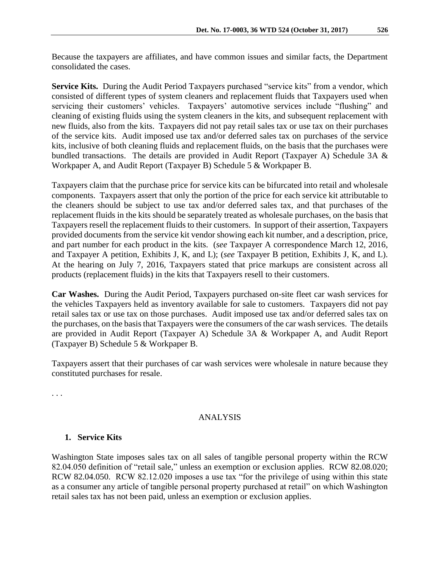Because the taxpayers are affiliates, and have common issues and similar facts, the Department consolidated the cases.

**Service Kits.** During the Audit Period Taxpayers purchased "service kits" from a vendor, which consisted of different types of system cleaners and replacement fluids that Taxpayers used when servicing their customers' vehicles. Taxpayers' automotive services include "flushing" and cleaning of existing fluids using the system cleaners in the kits, and subsequent replacement with new fluids, also from the kits. Taxpayers did not pay retail sales tax or use tax on their purchases of the service kits. Audit imposed use tax and/or deferred sales tax on purchases of the service kits, inclusive of both cleaning fluids and replacement fluids, on the basis that the purchases were bundled transactions. The details are provided in Audit Report (Taxpayer A) Schedule 3A & Workpaper A, and Audit Report (Taxpayer B) Schedule 5 & Workpaper B.

Taxpayers claim that the purchase price for service kits can be bifurcated into retail and wholesale components. Taxpayers assert that only the portion of the price for each service kit attributable to the cleaners should be subject to use tax and/or deferred sales tax, and that purchases of the replacement fluids in the kits should be separately treated as wholesale purchases, on the basis that Taxpayers resell the replacement fluids to their customers. In support of their assertion, Taxpayers provided documents from the service kit vendor showing each kit number, and a description, price, and part number for each product in the kits. (*see* Taxpayer A correspondence March 12, 2016, and Taxpayer A petition, Exhibits J, K, and L); (*see* Taxpayer B petition, Exhibits J, K, and L). At the hearing on July 7, 2016, Taxpayers stated that price markups are consistent across all products (replacement fluids) in the kits that Taxpayers resell to their customers.

**Car Washes.** During the Audit Period, Taxpayers purchased on-site fleet car wash services for the vehicles Taxpayers held as inventory available for sale to customers. Taxpayers did not pay retail sales tax or use tax on those purchases. Audit imposed use tax and/or deferred sales tax on the purchases, on the basis that Taxpayers were the consumers of the car wash services. The details are provided in Audit Report (Taxpayer A) Schedule 3A & Workpaper A, and Audit Report (Taxpayer B) Schedule 5 & Workpaper B.

Taxpayers assert that their purchases of car wash services were wholesale in nature because they constituted purchases for resale.

. . .

#### ANALYSIS

#### **1. Service Kits**

Washington State imposes sales tax on all sales of tangible personal property within the RCW 82.04.050 definition of "retail sale," unless an exemption or exclusion applies. RCW 82.08.020; RCW 82.04.050. RCW 82.12.020 imposes a use tax "for the privilege of using within this state as a consumer any article of tangible personal property purchased at retail" on which Washington retail sales tax has not been paid, unless an exemption or exclusion applies.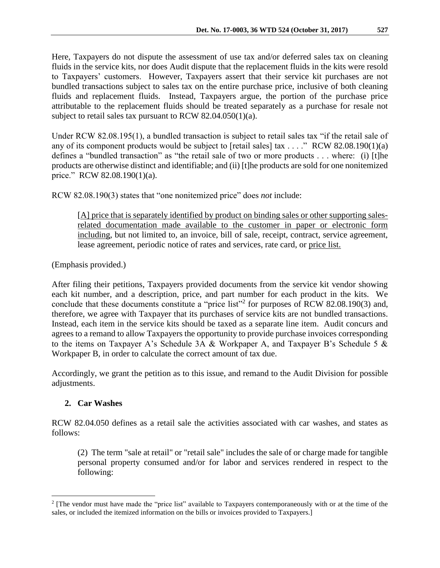Here, Taxpayers do not dispute the assessment of use tax and/or deferred sales tax on cleaning fluids in the service kits, nor does Audit dispute that the replacement fluids in the kits were resold to Taxpayers' customers. However, Taxpayers assert that their service kit purchases are not bundled transactions subject to sales tax on the entire purchase price, inclusive of both cleaning fluids and replacement fluids. Instead, Taxpayers argue, the portion of the purchase price attributable to the replacement fluids should be treated separately as a purchase for resale not subject to retail sales tax pursuant to RCW 82.04.050(1)(a).

Under RCW 82.08.195(1), a bundled transaction is subject to retail sales tax "if the retail sale of any of its component products would be subject to [retail sales] tax . . . ." RCW 82.08.190(1)(a) defines a "bundled transaction" as "the retail sale of two or more products . . . where: (i) [t]he products are otherwise distinct and identifiable; and (ii) [t]he products are sold for one nonitemized price." RCW 82.08.190(1)(a).

RCW 82.08.190(3) states that "one nonitemized price" does *not* include:

[A] price that is separately identified by product on binding sales or other supporting salesrelated documentation made available to the customer in paper or electronic form including, but not limited to, an invoice, bill of sale, receipt, contract, service agreement, lease agreement, periodic notice of rates and services, rate card, or price list.

(Emphasis provided.)

After filing their petitions, Taxpayers provided documents from the service kit vendor showing each kit number, and a description, price, and part number for each product in the kits. We conclude that these documents constitute a "price list"<sup>2</sup> for purposes of RCW 82.08.190(3) and, therefore, we agree with Taxpayer that its purchases of service kits are not bundled transactions. Instead, each item in the service kits should be taxed as a separate line item. Audit concurs and agrees to a remand to allow Taxpayers the opportunity to provide purchase invoices corresponding to the items on Taxpayer A's Schedule 3A & Workpaper A, and Taxpayer B's Schedule 5 & Workpaper B, in order to calculate the correct amount of tax due.

Accordingly, we grant the petition as to this issue, and remand to the Audit Division for possible adjustments.

# **2. Car Washes**

 $\overline{a}$ 

RCW 82.04.050 defines as a retail sale the activities associated with car washes, and states as follows:

(2) The term "sale at retail" or "retail sale" includes the sale of or charge made for tangible personal property consumed and/or for labor and services rendered in respect to the following:

<sup>&</sup>lt;sup>2</sup> [The vendor must have made the "price list" available to Taxpayers contemporaneously with or at the time of the sales, or included the itemized information on the bills or invoices provided to Taxpayers.]